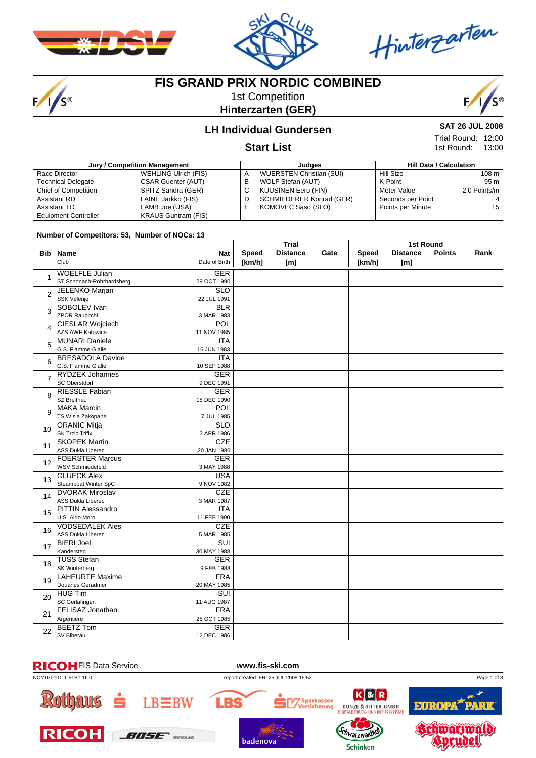



Hinterzarten

# $F/1/s$

# **FIS GRAND PRIX NORDIC COMBINED**

1st Competition **Hinterzarten (GER)**



## **LH Individual Gundersen**

#### **Start List**

| Jury / Competition Management |                             |    | Judaes                          |                   | <b>Hill Data / Calculation</b> |  |  |
|-------------------------------|-----------------------------|----|---------------------------------|-------------------|--------------------------------|--|--|
| Race Director                 | <b>WEHLING Ulrich (FIS)</b> | А  | <b>WUERSTEN Christian (SUI)</b> | Hill Size         | 108 <sub>m</sub>               |  |  |
| <b>Technical Delegate</b>     | <b>CSAR Guenter (AUT)</b>   | в  | WOLF Stefan (AUT)               | K-Point           | 95 m                           |  |  |
| <b>Chief of Competition</b>   | SPITZ Sandra (GER)          | U  | <b>KUUSINEN Eero (FIN)</b>      | Meter Value       | 2.0 Points/m                   |  |  |
| Assistant RD                  | LAINE Jarkko (FIS)          | D  | SCHMIEDERER Konrad (GER)        | Seconds per Point |                                |  |  |
| Assistant TD                  | LAMB Joe (USA)              | ь. | KOMOVEC Saso (SLO)              | Points per Minute | 15                             |  |  |
| <b>Equipment Controller</b>   | <b>KRAUS Guntram (FIS)</b>  |    |                                 |                   |                                |  |  |

#### **Number of Competitors: 53, Number of NOCs: 13**

|                 |                                             |                           | Trial        |                 |      | <b>1st Round</b> |                 |               |      |
|-----------------|---------------------------------------------|---------------------------|--------------|-----------------|------|------------------|-----------------|---------------|------|
|                 | <b>Bib Name</b>                             | <b>Nat</b>                | <b>Speed</b> | <b>Distance</b> | Gate | Speed            | <b>Distance</b> | <b>Points</b> | Rank |
|                 | Club                                        | Date of Birth             | [km/h]       | [ml]            |      | [km/h]           | [m]             |               |      |
|                 | <b>WOELFLE Julian</b>                       | <b>GER</b>                |              |                 |      |                  |                 |               |      |
| $\mathbf{1}$    | ST Schonach-Rohrhardsberg                   | 29 OCT 1990               |              |                 |      |                  |                 |               |      |
| $\overline{2}$  | <b>JELENKO Marjan</b>                       | SLO                       |              |                 |      |                  |                 |               |      |
|                 | SSK Velenje                                 | 22 JUL 1991               |              |                 |      |                  |                 |               |      |
| 3               | SOBOLEV Ivan                                | <b>BLR</b>                |              |                 |      |                  |                 |               |      |
|                 | <b>ZPOR Raubitchi</b>                       | 3 MAR 1983                |              |                 |      |                  |                 |               |      |
| 4               | CIESLAR Wojciech                            | <b>POL</b>                |              |                 |      |                  |                 |               |      |
|                 | AZS AWF Katowice                            | 11 NOV 1985               |              |                 |      |                  |                 |               |      |
| 5               | <b>MUNARI Daniele</b><br>G.S. Fiamme Gialle | <b>ITA</b><br>16 JUN 1983 |              |                 |      |                  |                 |               |      |
|                 | <b>BRESADOLA Davide</b>                     | <b>ITA</b>                |              |                 |      |                  |                 |               |      |
| 6               | G.S. Fiamme Gialle                          | 10 SEP 1988               |              |                 |      |                  |                 |               |      |
|                 | <b>RYDZEK Johannes</b>                      | <b>GER</b>                |              |                 |      |                  |                 |               |      |
| $\overline{7}$  | <b>SC Oberstdorf</b>                        | 9 DEC 1991                |              |                 |      |                  |                 |               |      |
|                 | <b>RIESSLE Fabian</b>                       | <b>GER</b>                |              |                 |      |                  |                 |               |      |
| 8               | SZ Breitnau                                 | 18 DEC 1990               |              |                 |      |                  |                 |               |      |
|                 | <b>MAKA Marcin</b>                          | <b>POL</b>                |              |                 |      |                  |                 |               |      |
| 9               | TS Wisla Zakopane                           | 7 JUL 1985                |              |                 |      |                  |                 |               |      |
|                 | <b>ORANIC Mitja</b>                         | <b>SLO</b>                |              |                 |      |                  |                 |               |      |
| 10 <sup>1</sup> | <b>SK Trzic Trifix</b>                      | 3 APR 1986                |              |                 |      |                  |                 |               |      |
|                 | <b>SKOPEK Martin</b>                        | CZE                       |              |                 |      |                  |                 |               |      |
| 11              | <b>ASS Dukla Liberec</b>                    | 20 JAN 1986               |              |                 |      |                  |                 |               |      |
|                 | <b>FOERSTER Marcus</b>                      | <b>GER</b>                |              |                 |      |                  |                 |               |      |
| 12              | <b>WSV Schmiedefeld</b>                     | 3 MAY 1988                |              |                 |      |                  |                 |               |      |
| 13              | <b>GLUECK Alex</b>                          | <b>USA</b>                |              |                 |      |                  |                 |               |      |
|                 | Steamboat Winter SpC                        | 9 NOV 1982                |              |                 |      |                  |                 |               |      |
| 14              | <b>DVORAK Miroslav</b>                      | <b>CZE</b>                |              |                 |      |                  |                 |               |      |
|                 | <b>ASS Dukla Liberec</b>                    | 3 MAR 1987                |              |                 |      |                  |                 |               |      |
| 15              | <b>PITTIN Alessandro</b>                    | ITA                       |              |                 |      |                  |                 |               |      |
|                 | U.S. Aldo Moro                              | 11 FEB 1990               |              |                 |      |                  |                 |               |      |
| 16              | <b>VODSEDALEK Ales</b>                      | <b>CZE</b>                |              |                 |      |                  |                 |               |      |
|                 | <b>ASS Dukla Liberec</b>                    | 5 MAR 1985                |              |                 |      |                  |                 |               |      |
| 17              | <b>BIERI Joel</b>                           | $\overline{\text{SUI}}$   |              |                 |      |                  |                 |               |      |
|                 | Kandersteg                                  | 30 MAY 1988               |              |                 |      |                  |                 |               |      |
| 18              | <b>TUSS Stefan</b>                          | <b>GER</b>                |              |                 |      |                  |                 |               |      |
|                 | SK Winterberg                               | 9 FEB 1988                |              |                 |      |                  |                 |               |      |
| 19              | <b>LAHEURTE Maxime</b>                      | <b>FRA</b>                |              |                 |      |                  |                 |               |      |
|                 | Douanes Geradmer                            | 20 MAY 1985               |              |                 |      |                  |                 |               |      |
| 20              | <b>HUG Tim</b>                              | $\overline{\text{SUI}}$   |              |                 |      |                  |                 |               |      |
|                 | SC Gerlafingen                              | 11 AUG 1987               |              |                 |      |                  |                 |               |      |
| 21              | <b>FELISAZ Jonathan</b><br>Argentiere       | <b>FRA</b><br>25 OCT 1985 |              |                 |      |                  |                 |               |      |
|                 | <b>BEETZ Tom</b>                            | <b>GER</b>                |              |                 |      |                  |                 |               |      |
| 22              |                                             |                           |              |                 |      |                  |                 |               |      |
|                 | SV Biberau                                  | 12 DEC 1986               |              |                 |      |                  |                 |               |      |



**SAT 26 JUL 2008** Trial Round: 12:00

13:00 1st Round: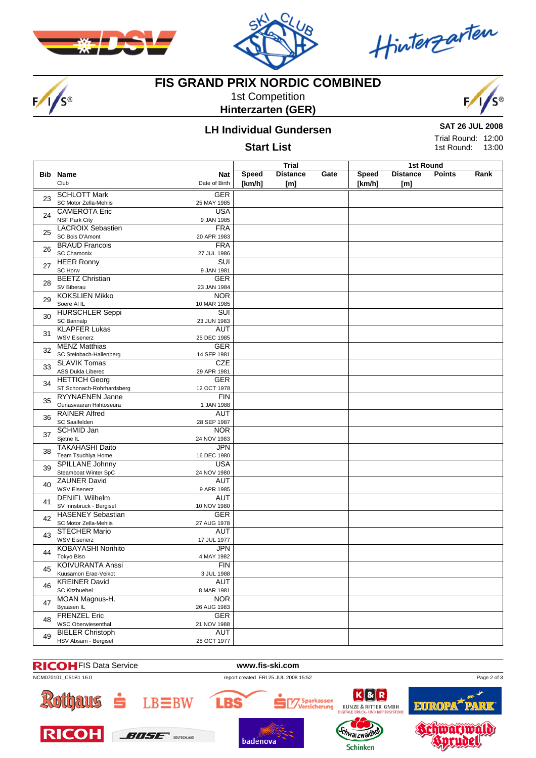



Hinterzarten

# $F/1/s$

# **FIS GRAND PRIX NORDIC COMBINED**

1st Competition **Hinterzarten (GER)**



## **LH Individual Gundersen**

#### **Start List**

**SAT 26 JUL 2008**

Trial Round: 12:00 13:00 1st Round:

|    |                           |                             | <b>Trial</b>           |                        | 1st Round |                        |                        |               |      |
|----|---------------------------|-----------------------------|------------------------|------------------------|-----------|------------------------|------------------------|---------------|------|
|    | <b>Bib Name</b><br>Club   | <b>Nat</b><br>Date of Birth | <b>Speed</b><br>[km/h] | <b>Distance</b><br>[m] | Gate      | <b>Speed</b><br>[km/h] | <b>Distance</b><br>[m] | <b>Points</b> | Rank |
|    | <b>SCHLOTT Mark</b>       | <b>GER</b>                  |                        |                        |           |                        |                        |               |      |
| 23 | SC Motor Zella-Mehlis     | 25 MAY 1985                 |                        |                        |           |                        |                        |               |      |
|    | <b>CAMEROTA Eric</b>      | <b>USA</b>                  |                        |                        |           |                        |                        |               |      |
| 24 | <b>NSF Park City</b>      | 9 JAN 1985                  |                        |                        |           |                        |                        |               |      |
|    | <b>LACROIX Sebastien</b>  | <b>FRA</b>                  |                        |                        |           |                        |                        |               |      |
| 25 | SC Bois D'Amont           | 20 APR 1983                 |                        |                        |           |                        |                        |               |      |
|    | <b>BRAUD Francois</b>     | <b>FRA</b>                  |                        |                        |           |                        |                        |               |      |
| 26 | <b>SC Chamonix</b>        | 27 JUL 1986                 |                        |                        |           |                        |                        |               |      |
|    | <b>HEER Ronny</b>         | $\overline{\text{SUI}}$     |                        |                        |           |                        |                        |               |      |
| 27 | <b>SC Horw</b>            | 9 JAN 1981                  |                        |                        |           |                        |                        |               |      |
|    | <b>BEETZ Christian</b>    | <b>GER</b>                  |                        |                        |           |                        |                        |               |      |
| 28 | SV Biberau                | 23 JAN 1984                 |                        |                        |           |                        |                        |               |      |
|    | <b>KOKSLIEN Mikko</b>     | <b>NOR</b>                  |                        |                        |           |                        |                        |               |      |
| 29 | Soere Al IL               | 10 MAR 1985                 |                        |                        |           |                        |                        |               |      |
|    | <b>HURSCHLER Seppi</b>    | SUI                         |                        |                        |           |                        |                        |               |      |
| 30 | SC Bannalp                | 23 JUN 1983                 |                        |                        |           |                        |                        |               |      |
|    | <b>KLAPFER Lukas</b>      | <b>AUT</b>                  |                        |                        |           |                        |                        |               |      |
| 31 | <b>WSV Eisenerz</b>       | 25 DEC 1985                 |                        |                        |           |                        |                        |               |      |
|    | <b>MENZ Matthias</b>      | <b>GER</b>                  |                        |                        |           |                        |                        |               |      |
| 32 | SC Steinbach-Hallenberg   | 14 SEP 1981                 |                        |                        |           |                        |                        |               |      |
|    | <b>SLAVIK Tomas</b>       | <b>CZE</b>                  |                        |                        |           |                        |                        |               |      |
| 33 | ASS Dukla Liberec         | 29 APR 1981                 |                        |                        |           |                        |                        |               |      |
|    | <b>HETTICH Georg</b>      | <b>GER</b>                  |                        |                        |           |                        |                        |               |      |
| 34 | ST Schonach-Rohrhardsberg | 12 OCT 1978                 |                        |                        |           |                        |                        |               |      |
|    | <b>RYYNAENEN Janne</b>    | FIN                         |                        |                        |           |                        |                        |               |      |
| 35 | Ounasvaaran Hiihtoseura   | 1 JAN 1988                  |                        |                        |           |                        |                        |               |      |
|    | <b>RAINER Alfred</b>      | <b>AUT</b>                  |                        |                        |           |                        |                        |               |      |
| 36 | SC Saalfelden             | 28 SEP 1987                 |                        |                        |           |                        |                        |               |      |
|    | <b>SCHMID Jan</b>         | <b>NOR</b>                  |                        |                        |           |                        |                        |               |      |
| 37 | Sjetne IL                 | 24 NOV 1983                 |                        |                        |           |                        |                        |               |      |
|    | <b>TAKAHASHI Daito</b>    | <b>JPN</b>                  |                        |                        |           |                        |                        |               |      |
| 38 | Team Tsuchiya Home        | 16 DEC 1980                 |                        |                        |           |                        |                        |               |      |
|    | SPILLANE Johnny           | <b>USA</b>                  |                        |                        |           |                        |                        |               |      |
| 39 | Steamboat Winter SpC      | 24 NOV 1980                 |                        |                        |           |                        |                        |               |      |
|    | <b>ZAUNER David</b>       | <b>AUT</b>                  |                        |                        |           |                        |                        |               |      |
| 40 | <b>WSV Eisenerz</b>       | 9 APR 1985                  |                        |                        |           |                        |                        |               |      |
|    | <b>DENIFL Wilhelm</b>     | <b>AUT</b>                  |                        |                        |           |                        |                        |               |      |
| 41 | SV Innsbruck - Bergisel   | 10 NOV 1980                 |                        |                        |           |                        |                        |               |      |
|    | <b>HASENEY Sebastian</b>  | <b>GER</b>                  |                        |                        |           |                        |                        |               |      |
| 42 | SC Motor Zella-Mehlis     | 27 AUG 1978                 |                        |                        |           |                        |                        |               |      |
|    | <b>STECHER Mario</b>      | <b>AUT</b>                  |                        |                        |           |                        |                        |               |      |
| 43 | <b>WSV Eisenerz</b>       | 17 JUL 1977                 |                        |                        |           |                        |                        |               |      |
|    | <b>KOBAYASHI Norihito</b> | <b>JPN</b>                  |                        |                        |           |                        |                        |               |      |
| 44 | Tokyo Biso                | 4 MAY 1982                  |                        |                        |           |                        |                        |               |      |
|    | <b>KOIVURANTA Anssi</b>   | FIN                         |                        |                        |           |                        |                        |               |      |
| 45 | Kuusamon Erae-Veikot      | 3 JUL 1988                  |                        |                        |           |                        |                        |               |      |
|    | <b>KREINER David</b>      | <b>AUT</b>                  |                        |                        |           |                        |                        |               |      |
| 46 | <b>SC Kitzbuehel</b>      | 8 MAR 1981                  |                        |                        |           |                        |                        |               |      |
|    | MOAN Magnus-H.            | <b>NOR</b>                  |                        |                        |           |                        |                        |               |      |
| 47 | Byaasen IL                | 26 AUG 1983                 |                        |                        |           |                        |                        |               |      |
|    | <b>FRENZEL Eric</b>       | GER                         |                        |                        |           |                        |                        |               |      |
| 48 | WSC Oberwiesenthal        | 21 NOV 1988                 |                        |                        |           |                        |                        |               |      |
|    | <b>BIELER Christoph</b>   | <b>AUT</b>                  |                        |                        |           |                        |                        |               |      |
| 49 | HSV Absam - Bergisel      | 28 OCT 1977                 |                        |                        |           |                        |                        |               |      |
|    |                           |                             |                        |                        |           |                        |                        |               |      |





badenova

**LBS** 





**RICOH** 



 $BUSE$ 





**Schinken**